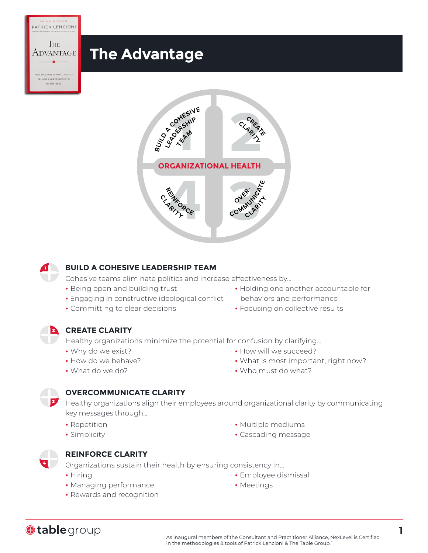



#### **BUILD A COHESIVE LEADERSHIP TEAM**

Cohesive teams eliminate politics and increase effectiveness by...

- Being open and building trust
- Engaging in constructive ideological conflict
- Committing to clear decisions
- Holding one another accountable for behaviors and performance
- Focusing on collective results

### 2 **CREATE CLARITY**

Healthy organizations minimize the potential for confusion by clarifying...

- Why do we exist?
- How do we behave?
- What do we do?
- How will we succeed?
- What is most important, right now?
- Who must do what?

### **OVERCOMMUNICATE CLARITY**

**3** Healthy organizations align their employees around organizational clarity by communicating key messages through...

- Repetition
- Simplicity
- 4

**Otable** group

1

PATRICK LENCIONI

Тне

EVERYTHING ELSE

### **REINFORCE CLARITY**

Organizations sustain their health by ensuring consistency in...

- Hiring
- Managing performance
- Rewards and recognition
- Multiple mediums
- Cascading message

• Employee dismissal

• Meetings

**1**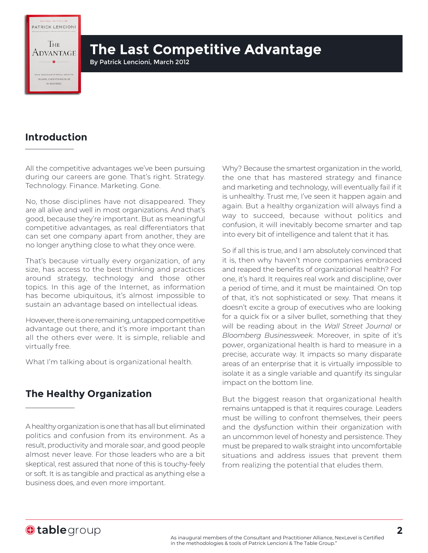PATRICK LENCIONI

**IHE** Advantage

# **The Last Competitive Advantage**

By Patrick Lencioni, March 2012

## **Introduction**

All the competitive advantages we've been pursuing during our careers are gone. That's right. Strategy. Technology. Finance. Marketing. Gone.

No, those disciplines have not disappeared. They are all alive and well in most organizations. And that's good, because they're important. But as meaningful competitive advantages, as real differentiators that can set one company apart from another, they are no longer anything close to what they once were.

That's because virtually every organization, of any size, has access to the best thinking and practices around strategy, technology and those other topics. In this age of the Internet, as information has become ubiquitous, it's almost impossible to sustain an advantage based on intellectual ideas.

However, there is one remaining, untapped competitive advantage out there, and it's more important than all the others ever were. It is simple, reliable and virtually free.

What I'm talking about is organizational health.

## **The Healthy Organization**

A healthy organization is one that has all but eliminated politics and confusion from its environment. As a result, productivity and morale soar, and good people almost never leave. For those leaders who are a bit skeptical, rest assured that none of this is touchy-feely or soft. It is as tangible and practical as anything else a business does, and even more important.

Why? Because the smartest organization in the world, the one that has mastered strategy and finance and marketing and technology, will eventually fail if it is unhealthy. Trust me, I've seen it happen again and again. But a healthy organization will always find a way to succeed, because without politics and confusion, it will inevitably become smarter and tap into every bit of intelligence and talent that it has.

So if all this is true, and I am absolutely convinced that it is, then why haven't more companies embraced and reaped the benefits of organizational health? For one, it's hard. It requires real work and discipline, over a period of time, and it must be maintained. On top of that, it's not sophisticated or sexy. That means it doesn't excite a group of executives who are looking for a quick fix or a silver bullet, something that they will be reading about in the *Wall Street Journal* or *Bloomberg Businessweek*. Moreover, in spite of it's power, organizational health is hard to measure in a precise, accurate way. It impacts so many disparate areas of an enterprise that it is virtually impossible to isolate it as a single variable and quantify its singular impact on the bottom line.

But the biggest reason that organizational health remains untapped is that it requires courage. Leaders must be willing to confront themselves, their peers and the dysfunction within their organization with an uncommon level of honesty and persistence. They must be prepared to walk straight into uncomfortable situations and address issues that prevent them from realizing the potential that eludes them.